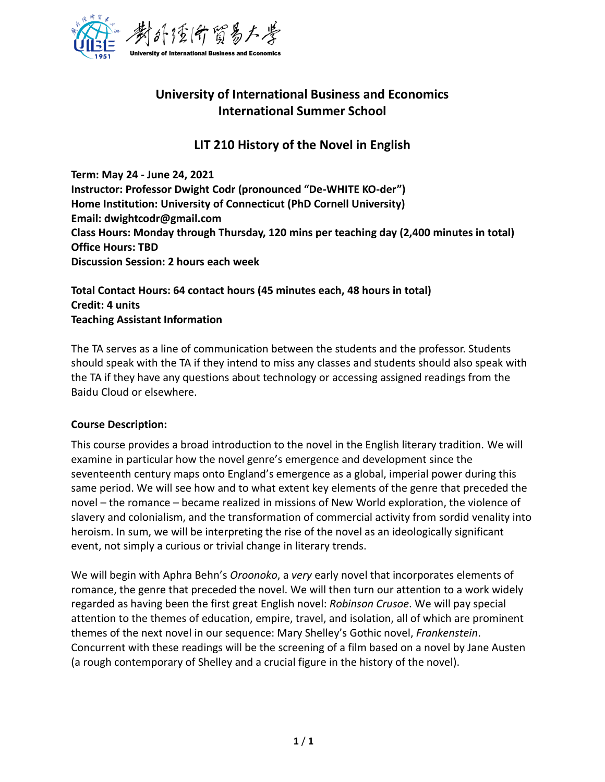

# **University of International Business and Economics International Summer School**

## **LIT 210 History of the Novel in English**

**Term: May 24 - June 24, 2021 Instructor: Professor Dwight Codr (pronounced "De-WHITE KO-der") Home Institution: University of Connecticut (PhD Cornell University) Email: dwightcodr@gmail.com Class Hours: Monday through Thursday, 120 mins per teaching day (2,400 minutes in total) Office Hours: TBD Discussion Session: 2 hours each week** 

#### **Total Contact Hours: 64 contact hours (45 minutes each, 48 hours in total) Credit: 4 units Teaching Assistant Information**

The TA serves as a line of communication between the students and the professor. Students should speak with the TA if they intend to miss any classes and students should also speak with the TA if they have any questions about technology or accessing assigned readings from the Baidu Cloud or elsewhere.

## **Course Description:**

This course provides a broad introduction to the novel in the English literary tradition. We will examine in particular how the novel genre's emergence and development since the seventeenth century maps onto England's emergence as a global, imperial power during this same period. We will see how and to what extent key elements of the genre that preceded the novel – the romance – became realized in missions of New World exploration, the violence of slavery and colonialism, and the transformation of commercial activity from sordid venality into heroism. In sum, we will be interpreting the rise of the novel as an ideologically significant event, not simply a curious or trivial change in literary trends.

We will begin with Aphra Behn's *Oroonoko*, a *very* early novel that incorporates elements of romance, the genre that preceded the novel. We will then turn our attention to a work widely regarded as having been the first great English novel: *Robinson Crusoe*. We will pay special attention to the themes of education, empire, travel, and isolation, all of which are prominent themes of the next novel in our sequence: Mary Shelley's Gothic novel, *Frankenstein*. Concurrent with these readings will be the screening of a film based on a novel by Jane Austen (a rough contemporary of Shelley and a crucial figure in the history of the novel).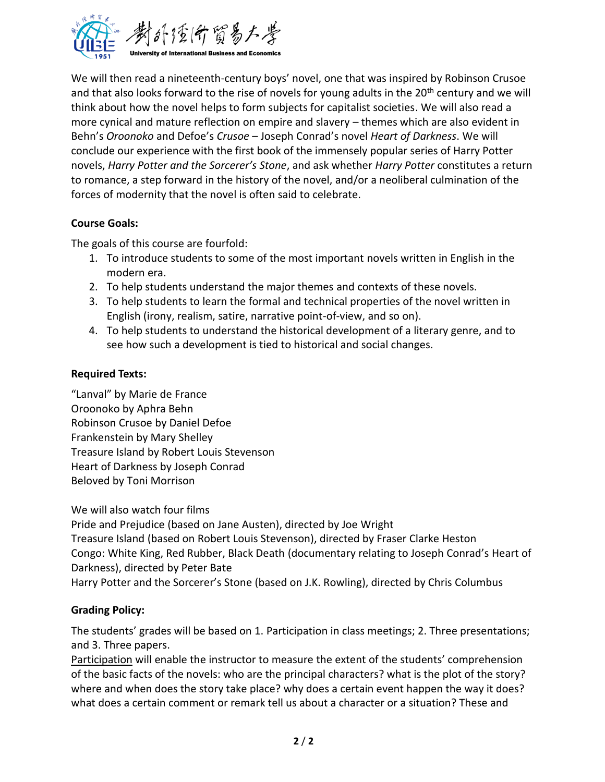

We will then read a nineteenth-century boys' novel, one that was inspired by Robinson Crusoe and that also looks forward to the rise of novels for young adults in the 20<sup>th</sup> century and we will think about how the novel helps to form subjects for capitalist societies. We will also read a more cynical and mature reflection on empire and slavery – themes which are also evident in Behn's *Oroonoko* and Defoe's *Crusoe* – Joseph Conrad's novel *Heart of Darkness*. We will conclude our experience with the first book of the immensely popular series of Harry Potter novels, *Harry Potter and the Sorcerer's Stone*, and ask whether *Harry Potter* constitutes a return to romance, a step forward in the history of the novel, and/or a neoliberal culmination of the forces of modernity that the novel is often said to celebrate.

#### **Course Goals:**

The goals of this course are fourfold:

- 1. To introduce students to some of the most important novels written in English in the modern era.
- 2. To help students understand the major themes and contexts of these novels.
- 3. To help students to learn the formal and technical properties of the novel written in English (irony, realism, satire, narrative point-of-view, and so on).
- 4. To help students to understand the historical development of a literary genre, and to see how such a development is tied to historical and social changes.

## **Required Texts:**

"Lanval" by Marie de France Oroonoko by Aphra Behn Robinson Crusoe by Daniel Defoe Frankenstein by Mary Shelley Treasure Island by Robert Louis Stevenson Heart of Darkness by Joseph Conrad Beloved by Toni Morrison

We will also watch four films

Pride and Prejudice (based on Jane Austen), directed by Joe Wright Treasure Island (based on Robert Louis Stevenson), directed by Fraser Clarke Heston Congo: White King, Red Rubber, Black Death (documentary relating to Joseph Conrad's Heart of Darkness), directed by Peter Bate Harry Potter and the Sorcerer's Stone (based on J.K. Rowling), directed by Chris Columbus

## **Grading Policy:**

The students' grades will be based on 1. Participation in class meetings; 2. Three presentations; and 3. Three papers.

Participation will enable the instructor to measure the extent of the students' comprehension of the basic facts of the novels: who are the principal characters? what is the plot of the story? where and when does the story take place? why does a certain event happen the way it does? what does a certain comment or remark tell us about a character or a situation? These and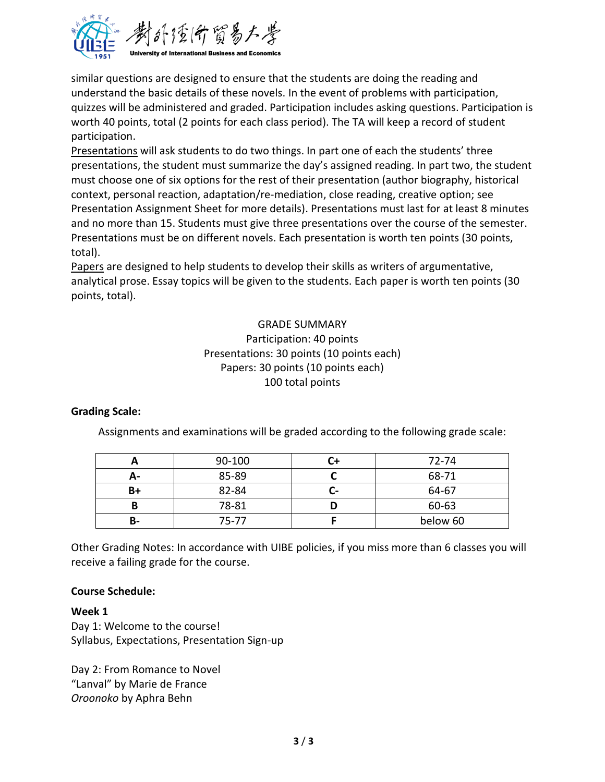

similar questions are designed to ensure that the students are doing the reading and understand the basic details of these novels. In the event of problems with participation, quizzes will be administered and graded. Participation includes asking questions. Participation is worth 40 points, total (2 points for each class period). The TA will keep a record of student participation.

Presentations will ask students to do two things. In part one of each the students' three presentations, the student must summarize the day's assigned reading. In part two, the student must choose one of six options for the rest of their presentation (author biography, historical context, personal reaction, adaptation/re-mediation, close reading, creative option; see Presentation Assignment Sheet for more details). Presentations must last for at least 8 minutes and no more than 15. Students must give three presentations over the course of the semester. Presentations must be on different novels. Each presentation is worth ten points (30 points, total).

Papers are designed to help students to develop their skills as writers of argumentative, analytical prose. Essay topics will be given to the students. Each paper is worth ten points (30 points, total).

## GRADE SUMMARY Participation: 40 points Presentations: 30 points (10 points each) Papers: 30 points (10 points each) 100 total points

#### **Grading Scale:**

Assignments and examinations will be graded according to the following grade scale:

|    | 90-100    |     | 72-74    |
|----|-----------|-----|----------|
| А- | 85-89     |     | 68-71    |
| B+ | 82-84     | . . | 64-67    |
| в  | 78-81     |     | 60-63    |
| B- | $75 - 77$ |     | below 60 |

Other Grading Notes: In accordance with UIBE policies, if you miss more than 6 classes you will receive a failing grade for the course.

#### **Course Schedule:**

#### **Week 1**

Day 1: Welcome to the course! Syllabus, Expectations, Presentation Sign-up

Day 2: From Romance to Novel "Lanval" by Marie de France *Oroonoko* by Aphra Behn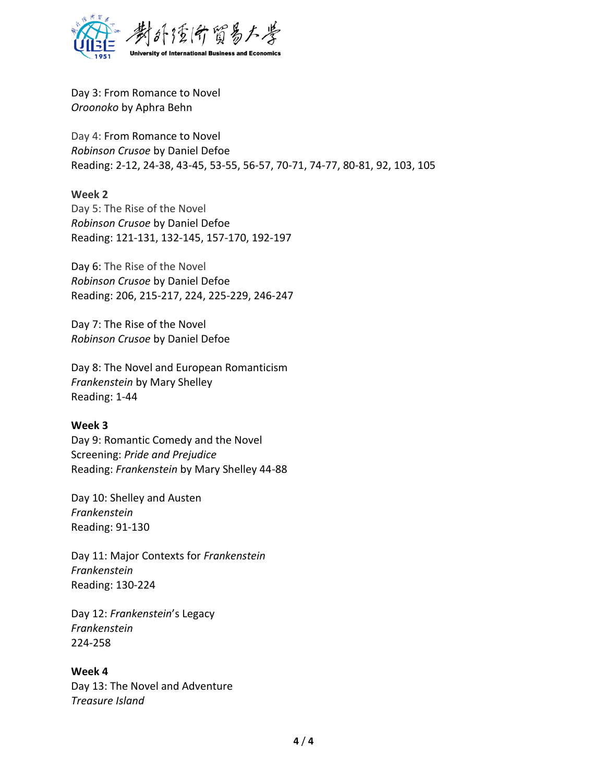

Day 3: From Romance to Novel *Oroonoko* by Aphra Behn

Day 4: From Romance to Novel *Robinson Crusoe* by Daniel Defoe Reading: 2-12, 24-38, 43-45, 53-55, 56-57, 70-71, 74-77, 80-81, 92, 103, 105

#### **Week 2**

Day 5: The Rise of the Novel *Robinson Crusoe* by Daniel Defoe Reading: 121-131, 132-145, 157-170, 192-197

Day 6: The Rise of the Novel *Robinson Crusoe* by Daniel Defoe Reading: 206, 215-217, 224, 225-229, 246-247

Day 7: The Rise of the Novel *Robinson Crusoe* by Daniel Defoe

Day 8: The Novel and European Romanticism *Frankenstein* by Mary Shelley Reading: 1-44

#### **Week 3**

Day 9: Romantic Comedy and the Novel Screening: *Pride and Prejudice* Reading: *Frankenstein* by Mary Shelley 44-88

Day 10: Shelley and Austen *Frankenstein* Reading: 91-130

Day 11: Major Contexts for *Frankenstein Frankenstein* Reading: 130-224

Day 12: *Frankenstein*'s Legacy *Frankenstein* 224-258

#### **Week 4**

Day 13: The Novel and Adventure *Treasure Island*